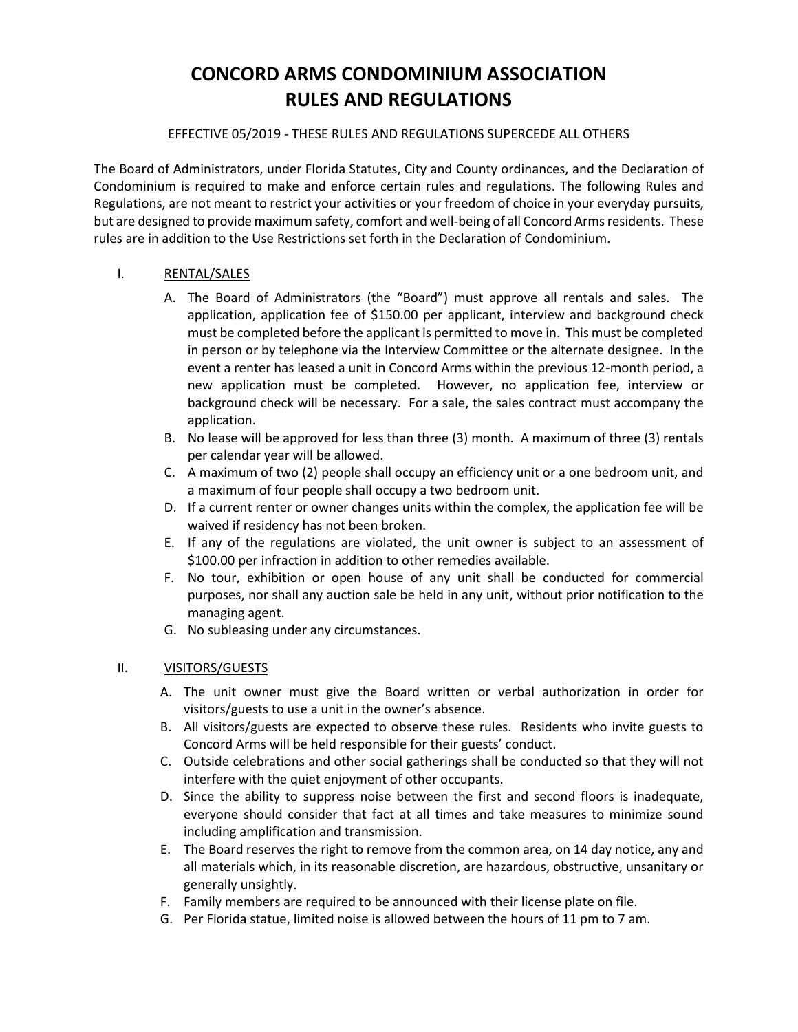## **CONCORD ARMS CONDOMINIUM ASSOCIATION RULES AND REGULATIONS**

#### EFFECTIVE 05/2019 - THESE RULES AND REGULATIONS SUPERCEDE ALL OTHERS

The Board of Administrators, under Florida Statutes, City and County ordinances, and the Declaration of Condominium is required to make and enforce certain rules and regulations. The following Rules and Regulations, are not meant to restrict your activities or your freedom of choice in your everyday pursuits, but are designed to provide maximum safety, comfort and well-being of all Concord Arms residents. These rules are in addition to the Use Restrictions set forth in the Declaration of Condominium.

#### I. RENTAL/SALES

- A. The Board of Administrators (the "Board") must approve all rentals and sales. The application, application fee of \$150.00 per applicant, interview and background check must be completed before the applicant is permitted to move in. This must be completed in person or by telephone via the Interview Committee or the alternate designee. In the event a renter has leased a unit in Concord Arms within the previous 12-month period, a new application must be completed. However, no application fee, interview or background check will be necessary. For a sale, the sales contract must accompany the application.
- B. No lease will be approved for less than three (3) month. A maximum of three (3) rentals per calendar year will be allowed.
- C. A maximum of two (2) people shall occupy an efficiency unit or a one bedroom unit, and a maximum of four people shall occupy a two bedroom unit.
- D. If a current renter or owner changes units within the complex, the application fee will be waived if residency has not been broken.
- E. If any of the regulations are violated, the unit owner is subject to an assessment of \$100.00 per infraction in addition to other remedies available.
- F. No tour, exhibition or open house of any unit shall be conducted for commercial purposes, nor shall any auction sale be held in any unit, without prior notification to the managing agent.
- G. No subleasing under any circumstances.

#### II. VISITORS/GUESTS

- A. The unit owner must give the Board written or verbal authorization in order for visitors/guests to use a unit in the owner's absence.
- B. All visitors/guests are expected to observe these rules. Residents who invite guests to Concord Arms will be held responsible for their guests' conduct.
- C. Outside celebrations and other social gatherings shall be conducted so that they will not interfere with the quiet enjoyment of other occupants.
- D. Since the ability to suppress noise between the first and second floors is inadequate, everyone should consider that fact at all times and take measures to minimize sound including amplification and transmission.
- E. The Board reserves the right to remove from the common area, on 14 day notice, any and all materials which, in its reasonable discretion, are hazardous, obstructive, unsanitary or generally unsightly.
- F. Family members are required to be announced with their license plate on file.
- G. Per Florida statue, limited noise is allowed between the hours of 11 pm to 7 am.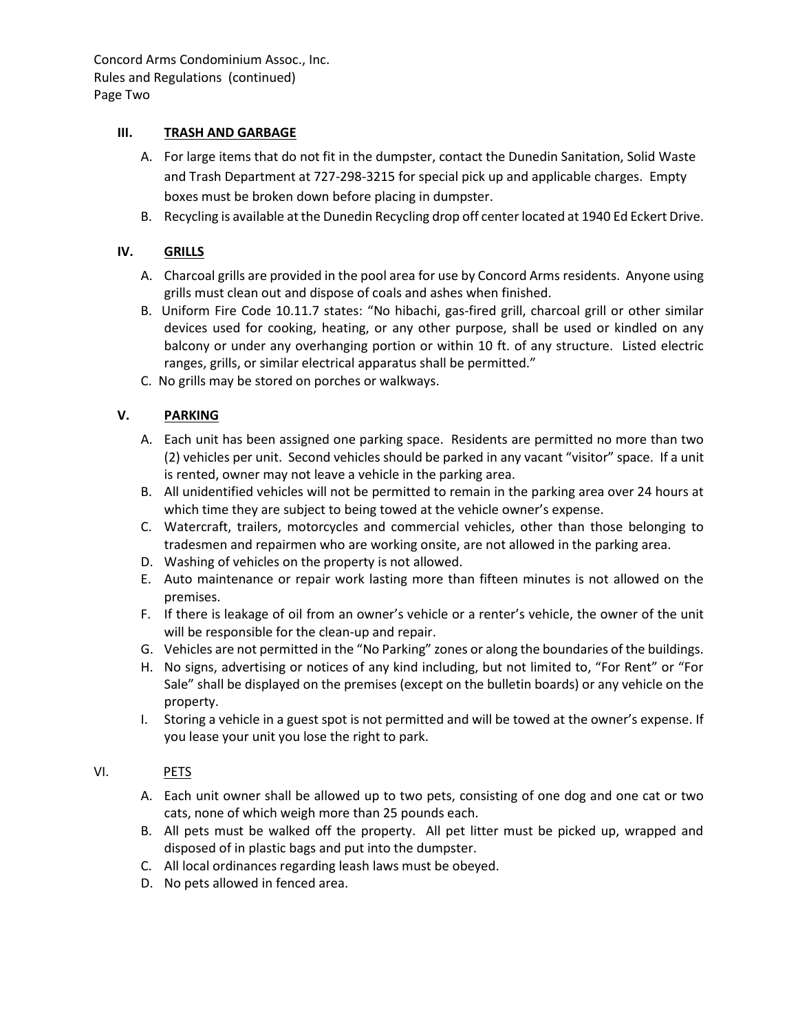Concord Arms Condominium Assoc., Inc. Rules and Regulations (continued) Page Two

#### **III. TRASH AND GARBAGE**

- A. For large items that do not fit in the dumpster, contact the Dunedin Sanitation, Solid Waste and Trash Department at 727-298-3215 for special pick up and applicable charges. Empty boxes must be broken down before placing in dumpster.
- B. Recycling is available at the Dunedin Recycling drop off center located at 1940 Ed Eckert Drive.

#### **IV. GRILLS**

- A. Charcoal grills are provided in the pool area for use by Concord Arms residents. Anyone using grills must clean out and dispose of coals and ashes when finished.
- B. Uniform Fire Code 10.11.7 states: "No hibachi, gas-fired grill, charcoal grill or other similar devices used for cooking, heating, or any other purpose, shall be used or kindled on any balcony or under any overhanging portion or within 10 ft. of any structure. Listed electric ranges, grills, or similar electrical apparatus shall be permitted."
- C. No grills may be stored on porches or walkways.

### **V. PARKING**

- A. Each unit has been assigned one parking space. Residents are permitted no more than two (2) vehicles per unit. Second vehicles should be parked in any vacant "visitor" space. If a unit is rented, owner may not leave a vehicle in the parking area.
- B. All unidentified vehicles will not be permitted to remain in the parking area over 24 hours at which time they are subject to being towed at the vehicle owner's expense.
- C. Watercraft, trailers, motorcycles and commercial vehicles, other than those belonging to tradesmen and repairmen who are working onsite, are not allowed in the parking area.
- D. Washing of vehicles on the property is not allowed.
- E. Auto maintenance or repair work lasting more than fifteen minutes is not allowed on the premises.
- F. If there is leakage of oil from an owner's vehicle or a renter's vehicle, the owner of the unit will be responsible for the clean-up and repair.
- G. Vehicles are not permitted in the "No Parking" zones or along the boundaries of the buildings.
- H. No signs, advertising or notices of any kind including, but not limited to, "For Rent" or "For Sale" shall be displayed on the premises (except on the bulletin boards) or any vehicle on the property.
- I. Storing a vehicle in a guest spot is not permitted and will be towed at the owner's expense. If you lease your unit you lose the right to park.

#### VI. PETS

- A. Each unit owner shall be allowed up to two pets, consisting of one dog and one cat or two cats, none of which weigh more than 25 pounds each.
- B. All pets must be walked off the property. All pet litter must be picked up, wrapped and disposed of in plastic bags and put into the dumpster.
- C. All local ordinances regarding leash laws must be obeyed.
- D. No pets allowed in fenced area.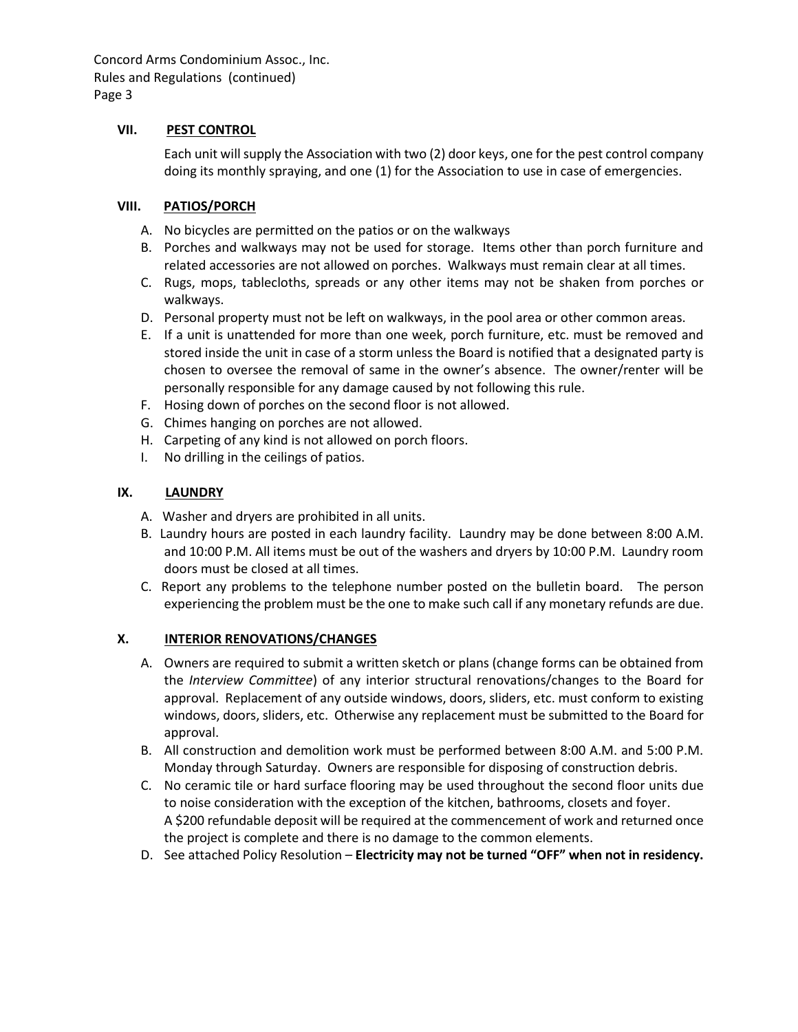Concord Arms Condominium Assoc., Inc. Rules and Regulations (continued) Page 3

#### **VII. PEST CONTROL**

Each unit will supply the Association with two (2) door keys, one for the pest control company doing its monthly spraying, and one (1) for the Association to use in case of emergencies.

#### **VIII. PATIOS/PORCH**

- A. No bicycles are permitted on the patios or on the walkways
- B. Porches and walkways may not be used for storage. Items other than porch furniture and related accessories are not allowed on porches. Walkways must remain clear at all times.
- C. Rugs, mops, tablecloths, spreads or any other items may not be shaken from porches or walkways.
- D. Personal property must not be left on walkways, in the pool area or other common areas.
- E. If a unit is unattended for more than one week, porch furniture, etc. must be removed and stored inside the unit in case of a storm unless the Board is notified that a designated party is chosen to oversee the removal of same in the owner's absence. The owner/renter will be personally responsible for any damage caused by not following this rule.
- F. Hosing down of porches on the second floor is not allowed.
- G. Chimes hanging on porches are not allowed.
- H. Carpeting of any kind is not allowed on porch floors.
- I. No drilling in the ceilings of patios.

### **IX. LAUNDRY**

- A. Washer and dryers are prohibited in all units.
- B. Laundry hours are posted in each laundry facility. Laundry may be done between 8:00 A.M. and 10:00 P.M. All items must be out of the washers and dryers by 10:00 P.M. Laundry room doors must be closed at all times.
- C. Report any problems to the telephone number posted on the bulletin board. The person experiencing the problem must be the one to make such call if any monetary refunds are due.

#### **X. INTERIOR RENOVATIONS/CHANGES**

- A. Owners are required to submit a written sketch or plans (change forms can be obtained from the *Interview Committee*) of any interior structural renovations/changes to the Board for approval. Replacement of any outside windows, doors, sliders, etc. must conform to existing windows, doors, sliders, etc. Otherwise any replacement must be submitted to the Board for approval.
- B. All construction and demolition work must be performed between 8:00 A.M. and 5:00 P.M. Monday through Saturday. Owners are responsible for disposing of construction debris.
- C. No ceramic tile or hard surface flooring may be used throughout the second floor units due to noise consideration with the exception of the kitchen, bathrooms, closets and foyer. A \$200 refundable deposit will be required at the commencement of work and returned once the project is complete and there is no damage to the common elements.
- D. See attached Policy Resolution **Electricity may not be turned "OFF" when not in residency.**